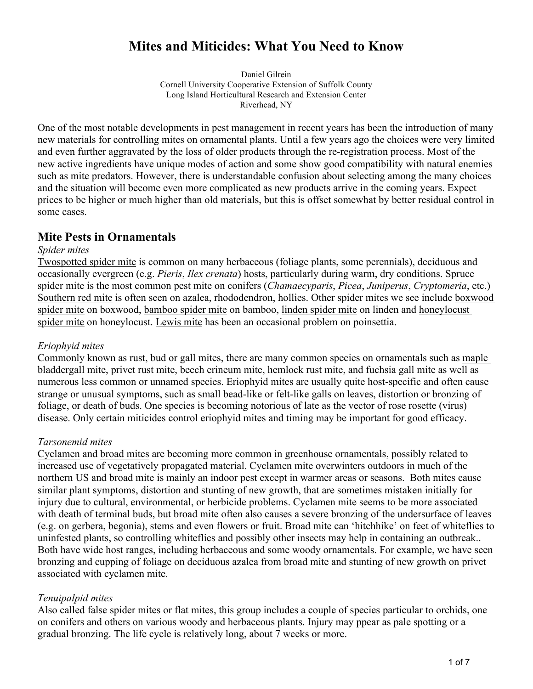# **Mites and Miticides: What You Need to Know**

Daniel Gilrein Cornell University Cooperative Extension of Suffolk County Long Island Horticultural Research and Extension Center Riverhead, NY

One of the most notable developments in pest management in recent years has been the introduction of many new materials for controlling mites on ornamental plants. Until a few years ago the choices were very limited and even further aggravated by the loss of older products through the re-registration process. Most of the new active ingredients have unique modes of action and some show good compatibility with natural enemies such as mite predators. However, there is understandable confusion about selecting among the many choices and the situation will become even more complicated as new products arrive in the coming years. Expect prices to be higher or much higher than old materials, but this is offset somewhat by better residual control in some cases.

# **Mite Pests in Ornamentals**

#### *Spider mites*

Twospotted spider mite is common on many herbaceous (foliage plants, some perennials), deciduous and occasionally evergreen (e.g. *Pieris*, *Ilex crenata*) hosts, particularly during warm, dry conditions. Spruce spider mite is the most common pest mite on conifers (*Chamaecyparis*, *Picea*, *Juniperus*, *Cryptomeria*, etc.) Southern red mite is often seen on azalea, rhododendron, hollies. Other spider mites we see include boxwood spider mite on boxwood, bamboo spider mite on bamboo, linden spider mite on linden and honeylocust spider mite on honeylocust. Lewis mite has been an occasional problem on poinsettia.

#### *Eriophyid mites*

Commonly known as rust, bud or gall mites, there are many common species on ornamentals such as maple bladdergall mite, privet rust mite, beech erineum mite, hemlock rust mite, and fuchsia gall mite as well as numerous less common or unnamed species. Eriophyid mites are usually quite host-specific and often cause strange or unusual symptoms, such as small bead-like or felt-like galls on leaves, distortion or bronzing of foliage, or death of buds. One species is becoming notorious of late as the vector of rose rosette (virus) disease. Only certain miticides control eriophyid mites and timing may be important for good efficacy.

#### *Tarsonemid mites*

Cyclamen and broad mites are becoming more common in greenhouse ornamentals, possibly related to increased use of vegetatively propagated material. Cyclamen mite overwinters outdoors in much of the northern US and broad mite is mainly an indoor pest except in warmer areas or seasons. Both mites cause similar plant symptoms, distortion and stunting of new growth, that are sometimes mistaken initially for injury due to cultural, environmental, or herbicide problems. Cyclamen mite seems to be more associated with death of terminal buds, but broad mite often also causes a severe bronzing of the undersurface of leaves (e.g. on gerbera, begonia), stems and even flowers or fruit. Broad mite can 'hitchhike' on feet of whiteflies to uninfested plants, so controlling whiteflies and possibly other insects may help in containing an outbreak.. Both have wide host ranges, including herbaceous and some woody ornamentals. For example, we have seen bronzing and cupping of foliage on deciduous azalea from broad mite and stunting of new growth on privet associated with cyclamen mite.

#### *Tenuipalpid mites*

Also called false spider mites or flat mites, this group includes a couple of species particular to orchids, one on conifers and others on various woody and herbaceous plants. Injury may ppear as pale spotting or a gradual bronzing. The life cycle is relatively long, about 7 weeks or more.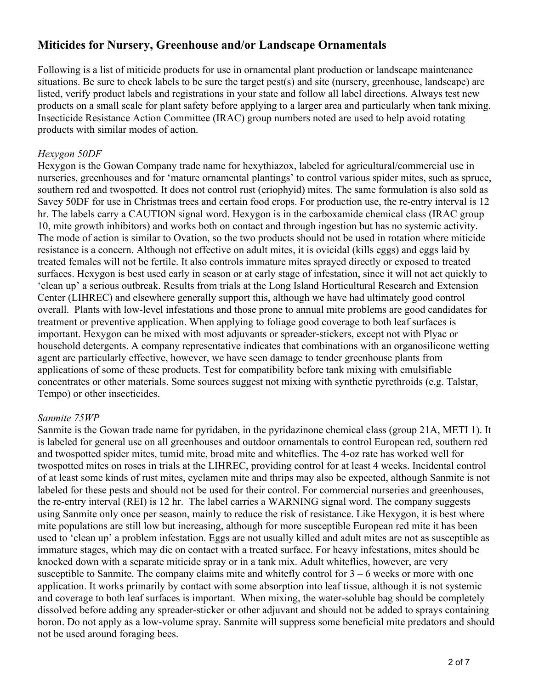# **Miticides for Nursery, Greenhouse and/or Landscape Ornamentals**

Following is a list of miticide products for use in ornamental plant production or landscape maintenance situations. Be sure to check labels to be sure the target pest(s) and site (nursery, greenhouse, landscape) are listed, verify product labels and registrations in your state and follow all label directions. Always test new products on a small scale for plant safety before applying to a larger area and particularly when tank mixing. Insecticide Resistance Action Committee (IRAC) group numbers noted are used to help avoid rotating products with similar modes of action.

# *Hexygon 50DF*

Hexygon is the Gowan Company trade name for hexythiazox, labeled for agricultural/commercial use in nurseries, greenhouses and for 'mature ornamental plantings' to control various spider mites, such as spruce, southern red and twospotted. It does not control rust (eriophyid) mites. The same formulation is also sold as Savey 50DF for use in Christmas trees and certain food crops. For production use, the re-entry interval is 12 hr. The labels carry a CAUTION signal word. Hexygon is in the carboxamide chemical class (IRAC group 10, mite growth inhibitors) and works both on contact and through ingestion but has no systemic activity. The mode of action is similar to Ovation, so the two products should not be used in rotation where miticide resistance is a concern. Although not effective on adult mites, it is ovicidal (kills eggs) and eggs laid by treated females will not be fertile. It also controls immature mites sprayed directly or exposed to treated surfaces. Hexygon is best used early in season or at early stage of infestation, since it will not act quickly to 'clean up' a serious outbreak. Results from trials at the Long Island Horticultural Research and Extension Center (LIHREC) and elsewhere generally support this, although we have had ultimately good control overall. Plants with low-level infestations and those prone to annual mite problems are good candidates for treatment or preventive application. When applying to foliage good coverage to both leaf surfaces is important. Hexygon can be mixed with most adjuvants or spreader-stickers, except not with Plyac or household detergents. A company representative indicates that combinations with an organosilicone wetting agent are particularly effective, however, we have seen damage to tender greenhouse plants from applications of some of these products. Test for compatibility before tank mixing with emulsifiable concentrates or other materials. Some sources suggest not mixing with synthetic pyrethroids (e.g. Talstar, Tempo) or other insecticides.

#### *Sanmite 75WP*

Sanmite is the Gowan trade name for pyridaben, in the pyridazinone chemical class (group 21A, METI 1). It is labeled for general use on all greenhouses and outdoor ornamentals to control European red, southern red and twospotted spider mites, tumid mite, broad mite and whiteflies. The 4-oz rate has worked well for twospotted mites on roses in trials at the LIHREC, providing control for at least 4 weeks. Incidental control of at least some kinds of rust mites, cyclamen mite and thrips may also be expected, although Sanmite is not labeled for these pests and should not be used for their control. For commercial nurseries and greenhouses, the re-entry interval (REI) is 12 hr. The label carries a WARNING signal word. The company suggests using Sanmite only once per season, mainly to reduce the risk of resistance. Like Hexygon, it is best where mite populations are still low but increasing, although for more susceptible European red mite it has been used to 'clean up' a problem infestation. Eggs are not usually killed and adult mites are not as susceptible as immature stages, which may die on contact with a treated surface. For heavy infestations, mites should be knocked down with a separate miticide spray or in a tank mix. Adult whiteflies, however, are very susceptible to Sanmite. The company claims mite and whitefly control for  $3 - 6$  weeks or more with one application. It works primarily by contact with some absorption into leaf tissue, although it is not systemic and coverage to both leaf surfaces is important. When mixing, the water-soluble bag should be completely dissolved before adding any spreader-sticker or other adjuvant and should not be added to sprays containing boron. Do not apply as a low-volume spray. Sanmite will suppress some beneficial mite predators and should not be used around foraging bees.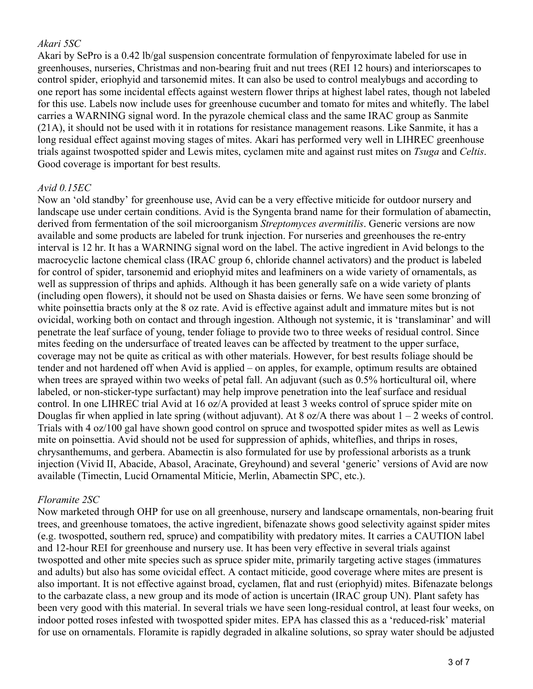#### *Akari 5SC*

Akari by SePro is a 0.42 lb/gal suspension concentrate formulation of fenpyroximate labeled for use in greenhouses, nurseries, Christmas and non-bearing fruit and nut trees (REI 12 hours) and interiorscapes to control spider, eriophyid and tarsonemid mites. It can also be used to control mealybugs and according to one report has some incidental effects against western flower thrips at highest label rates, though not labeled for this use. Labels now include uses for greenhouse cucumber and tomato for mites and whitefly. The label carries a WARNING signal word. In the pyrazole chemical class and the same IRAC group as Sanmite (21A), it should not be used with it in rotations for resistance management reasons. Like Sanmite, it has a long residual effect against moving stages of mites. Akari has performed very well in LIHREC greenhouse trials against twospotted spider and Lewis mites, cyclamen mite and against rust mites on *Tsuga* and *Celtis*. Good coverage is important for best results.

## *Avid 0.15EC*

Now an 'old standby' for greenhouse use, Avid can be a very effective miticide for outdoor nursery and landscape use under certain conditions. Avid is the Syngenta brand name for their formulation of abamectin, derived from fermentation of the soil microorganism *Streptomyces avermitilis*. Generic versions are now available and some products are labeled for trunk injection. For nurseries and greenhouses the re-entry interval is 12 hr. It has a WARNING signal word on the label. The active ingredient in Avid belongs to the macrocyclic lactone chemical class (IRAC group 6, chloride channel activators) and the product is labeled for control of spider, tarsonemid and eriophyid mites and leafminers on a wide variety of ornamentals, as well as suppression of thrips and aphids. Although it has been generally safe on a wide variety of plants (including open flowers), it should not be used on Shasta daisies or ferns. We have seen some bronzing of white poinsettia bracts only at the 8 oz rate. Avid is effective against adult and immature mites but is not ovicidal, working both on contact and through ingestion. Although not systemic, it is 'translaminar' and will penetrate the leaf surface of young, tender foliage to provide two to three weeks of residual control. Since mites feeding on the undersurface of treated leaves can be affected by treatment to the upper surface, coverage may not be quite as critical as with other materials. However, for best results foliage should be tender and not hardened off when Avid is applied – on apples, for example, optimum results are obtained when trees are sprayed within two weeks of petal fall. An adjuvant (such as 0.5% horticultural oil, where labeled, or non-sticker-type surfactant) may help improve penetration into the leaf surface and residual control. In one LIHREC trial Avid at 16 oz/A provided at least 3 weeks control of spruce spider mite on Douglas fir when applied in late spring (without adjuvant). At 8 oz/A there was about  $1 - 2$  weeks of control. Trials with 4 oz/100 gal have shown good control on spruce and twospotted spider mites as well as Lewis mite on poinsettia. Avid should not be used for suppression of aphids, whiteflies, and thrips in roses, chrysanthemums, and gerbera. Abamectin is also formulated for use by professional arborists as a trunk injection (Vivid II, Abacide, Abasol, Aracinate, Greyhound) and several 'generic' versions of Avid are now available (Timectin, Lucid Ornamental Miticie, Merlin, Abamectin SPC, etc.).

#### *Floramite 2SC*

Now marketed through OHP for use on all greenhouse, nursery and landscape ornamentals, non-bearing fruit trees, and greenhouse tomatoes, the active ingredient, bifenazate shows good selectivity against spider mites (e.g. twospotted, southern red, spruce) and compatibility with predatory mites. It carries a CAUTION label and 12-hour REI for greenhouse and nursery use. It has been very effective in several trials against twospotted and other mite species such as spruce spider mite, primarily targeting active stages (immatures and adults) but also has some ovicidal effect. A contact miticide, good coverage where mites are present is also important. It is not effective against broad, cyclamen, flat and rust (eriophyid) mites. Bifenazate belongs to the carbazate class, a new group and its mode of action is uncertain (IRAC group UN). Plant safety has been very good with this material. In several trials we have seen long-residual control, at least four weeks, on indoor potted roses infested with twospotted spider mites. EPA has classed this as a 'reduced-risk' material for use on ornamentals. Floramite is rapidly degraded in alkaline solutions, so spray water should be adjusted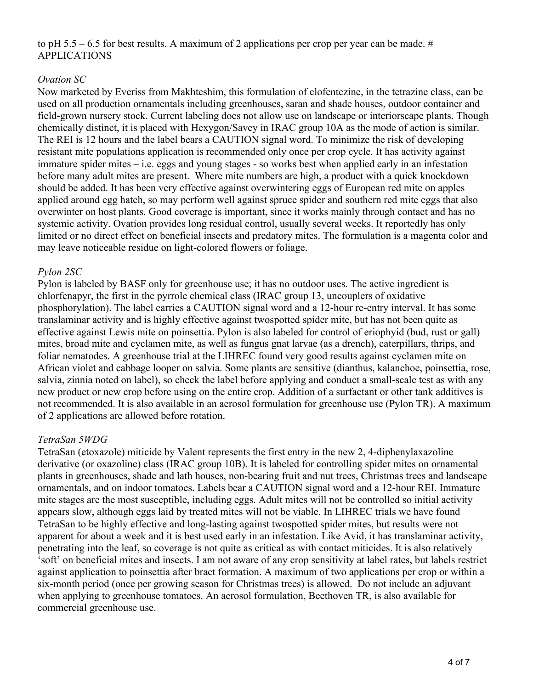to pH 5.5 – 6.5 for best results. A maximum of 2 applications per crop per year can be made. # APPLICATIONS

### *Ovation SC*

Now marketed by Everiss from Makhteshim, this formulation of clofentezine, in the tetrazine class, can be used on all production ornamentals including greenhouses, saran and shade houses, outdoor container and field-grown nursery stock. Current labeling does not allow use on landscape or interiorscape plants. Though chemically distinct, it is placed with Hexygon/Savey in IRAC group 10A as the mode of action is similar. The REI is 12 hours and the label bears a CAUTION signal word. To minimize the risk of developing resistant mite populations application is recommended only once per crop cycle. It has activity against immature spider mites – i.e. eggs and young stages - so works best when applied early in an infestation before many adult mites are present. Where mite numbers are high, a product with a quick knockdown should be added. It has been very effective against overwintering eggs of European red mite on apples applied around egg hatch, so may perform well against spruce spider and southern red mite eggs that also overwinter on host plants. Good coverage is important, since it works mainly through contact and has no systemic activity. Ovation provides long residual control, usually several weeks. It reportedly has only limited or no direct effect on beneficial insects and predatory mites. The formulation is a magenta color and may leave noticeable residue on light-colored flowers or foliage.

#### *Pylon 2SC*

Pylon is labeled by BASF only for greenhouse use; it has no outdoor uses. The active ingredient is chlorfenapyr, the first in the pyrrole chemical class (IRAC group 13, uncouplers of oxidative phosphorylation). The label carries a CAUTION signal word and a 12-hour re-entry interval. It has some translaminar activity and is highly effective against twospotted spider mite, but has not been quite as effective against Lewis mite on poinsettia. Pylon is also labeled for control of eriophyid (bud, rust or gall) mites, broad mite and cyclamen mite, as well as fungus gnat larvae (as a drench), caterpillars, thrips, and foliar nematodes. A greenhouse trial at the LIHREC found very good results against cyclamen mite on African violet and cabbage looper on salvia. Some plants are sensitive (dianthus, kalanchoe, poinsettia, rose, salvia, zinnia noted on label), so check the label before applying and conduct a small-scale test as with any new product or new crop before using on the entire crop. Addition of a surfactant or other tank additives is not recommended. It is also available in an aerosol formulation for greenhouse use (Pylon TR). A maximum of 2 applications are allowed before rotation.

#### *TetraSan 5WDG*

TetraSan (etoxazole) miticide by Valent represents the first entry in the new 2, 4-diphenylaxazoline derivative (or oxazoline) class (IRAC group 10B). It is labeled for controlling spider mites on ornamental plants in greenhouses, shade and lath houses, non-bearing fruit and nut trees, Christmas trees and landscape ornamentals, and on indoor tomatoes. Labels bear a CAUTION signal word and a 12-hour REI. Immature mite stages are the most susceptible, including eggs. Adult mites will not be controlled so initial activity appears slow, although eggs laid by treated mites will not be viable. In LIHREC trials we have found TetraSan to be highly effective and long-lasting against twospotted spider mites, but results were not apparent for about a week and it is best used early in an infestation. Like Avid, it has translaminar activity, penetrating into the leaf, so coverage is not quite as critical as with contact miticides. It is also relatively 'soft' on beneficial mites and insects. I am not aware of any crop sensitivity at label rates, but labels restrict against application to poinsettia after bract formation. A maximum of two applications per crop or within a six-month period (once per growing season for Christmas trees) is allowed. Do not include an adjuvant when applying to greenhouse tomatoes. An aerosol formulation, Beethoven TR, is also available for commercial greenhouse use.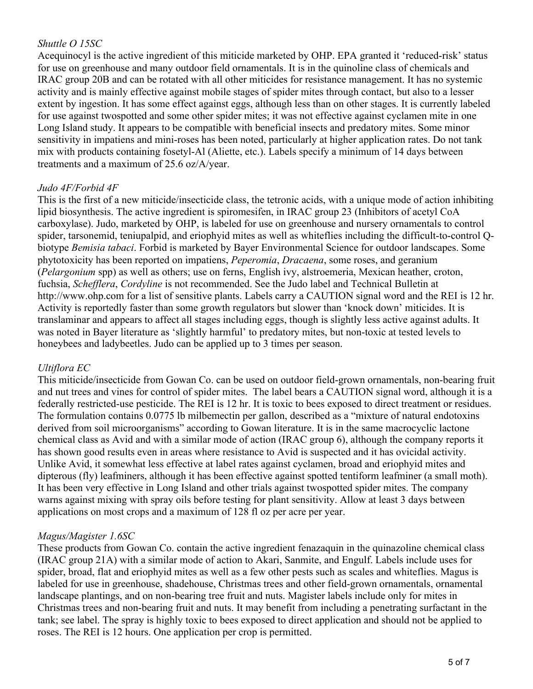# *Shuttle O 15SC*

Acequinocyl is the active ingredient of this miticide marketed by OHP. EPA granted it 'reduced-risk' status for use on greenhouse and many outdoor field ornamentals. It is in the quinoline class of chemicals and IRAC group 20B and can be rotated with all other miticides for resistance management. It has no systemic activity and is mainly effective against mobile stages of spider mites through contact, but also to a lesser extent by ingestion. It has some effect against eggs, although less than on other stages. It is currently labeled for use against twospotted and some other spider mites; it was not effective against cyclamen mite in one Long Island study. It appears to be compatible with beneficial insects and predatory mites. Some minor sensitivity in impatiens and mini-roses has been noted, particularly at higher application rates. Do not tank mix with products containing fosetyl-Al (Aliette, etc.). Labels specify a minimum of 14 days between treatments and a maximum of 25.6 oz/A/year.

#### *Judo 4F/Forbid 4F*

This is the first of a new miticide/insecticide class, the tetronic acids, with a unique mode of action inhibiting lipid biosynthesis. The active ingredient is spiromesifen, in IRAC group 23 (Inhibitors of acetyl CoA carboxylase). Judo, marketed by OHP, is labeled for use on greenhouse and nursery ornamentals to control spider, tarsonemid, teniupalpid, and eriophyid mites as well as whiteflies including the difficult-to-control Qbiotype *Bemisia tabaci*. Forbid is marketed by Bayer Environmental Science for outdoor landscapes. Some phytotoxicity has been reported on impatiens, *Peperomia*, *Dracaena*, some roses, and geranium (*Pelargonium* spp) as well as others; use on ferns, English ivy, alstroemeria, Mexican heather, croton, fuchsia, *Schefflera*, *Cordyline* is not recommended. See the Judo label and Technical Bulletin at http://www.ohp.com for a list of sensitive plants. Labels carry a CAUTION signal word and the REI is 12 hr. Activity is reportedly faster than some growth regulators but slower than 'knock down' miticides. It is translaminar and appears to affect all stages including eggs, though is slightly less active against adults. It was noted in Bayer literature as 'slightly harmful' to predatory mites, but non-toxic at tested levels to honeybees and ladybeetles. Judo can be applied up to 3 times per season.

#### *Ultiflora EC*

This miticide/insecticide from Gowan Co. can be used on outdoor field-grown ornamentals, non-bearing fruit and nut trees and vines for control of spider mites. The label bears a CAUTION signal word, although it is a federally restricted-use pesticide. The REI is 12 hr. It is toxic to bees exposed to direct treatment or residues. The formulation contains 0.0775 lb milbemectin per gallon, described as a "mixture of natural endotoxins derived from soil microorganisms" according to Gowan literature. It is in the same macrocyclic lactone chemical class as Avid and with a similar mode of action (IRAC group 6), although the company reports it has shown good results even in areas where resistance to Avid is suspected and it has ovicidal activity. Unlike Avid, it somewhat less effective at label rates against cyclamen, broad and eriophyid mites and dipterous (fly) leafminers, although it has been effective against spotted tentiform leafminer (a small moth). It has been very effective in Long Island and other trials against twospotted spider mites. The company warns against mixing with spray oils before testing for plant sensitivity. Allow at least 3 days between applications on most crops and a maximum of 128 fl oz per acre per year.

#### *Magus/Magister 1.6SC*

These products from Gowan Co. contain the active ingredient fenazaquin in the quinazoline chemical class (IRAC group 21A) with a similar mode of action to Akari, Sanmite, and Engulf. Labels include uses for spider, broad, flat and eriophyid mites as well as a few other pests such as scales and whiteflies. Magus is labeled for use in greenhouse, shadehouse, Christmas trees and other field-grown ornamentals, ornamental landscape plantings, and on non-bearing tree fruit and nuts. Magister labels include only for mites in Christmas trees and non-bearing fruit and nuts. It may benefit from including a penetrating surfactant in the tank; see label. The spray is highly toxic to bees exposed to direct application and should not be applied to roses. The REI is 12 hours. One application per crop is permitted.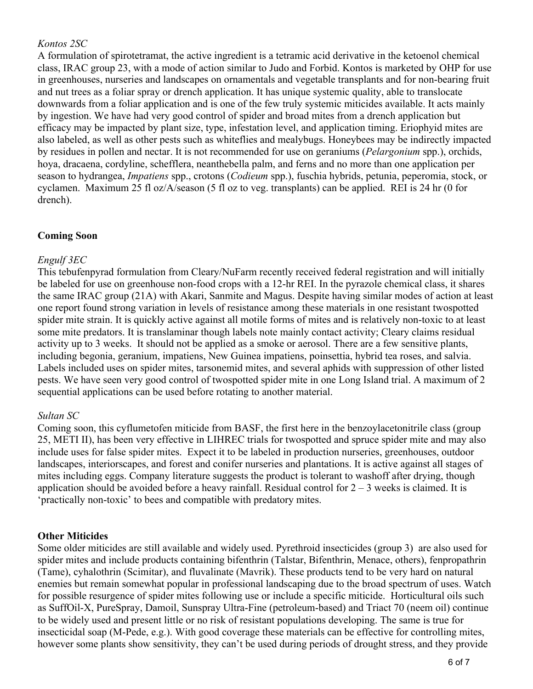## *Kontos 2SC*

A formulation of spirotetramat, the active ingredient is a tetramic acid derivative in the ketoenol chemical class, IRAC group 23, with a mode of action similar to Judo and Forbid. Kontos is marketed by OHP for use in greenhouses, nurseries and landscapes on ornamentals and vegetable transplants and for non-bearing fruit and nut trees as a foliar spray or drench application. It has unique systemic quality, able to translocate downwards from a foliar application and is one of the few truly systemic miticides available. It acts mainly by ingestion. We have had very good control of spider and broad mites from a drench application but efficacy may be impacted by plant size, type, infestation level, and application timing. Eriophyid mites are also labeled, as well as other pests such as whiteflies and mealybugs. Honeybees may be indirectly impacted by residues in pollen and nectar. It is not recommended for use on geraniums (*Pelargonium* spp.), orchids, hoya, dracaena, cordyline, schefflera, neanthebella palm, and ferns and no more than one application per season to hydrangea, *Impatiens* spp., crotons (*Codieum* spp.), fuschia hybrids, petunia, peperomia, stock, or cyclamen. Maximum 25 fl oz/A/season (5 fl oz to veg. transplants) can be applied. REI is 24 hr (0 for drench).

#### **Coming Soon**

#### *Engulf 3EC*

This tebufenpyrad formulation from Cleary/NuFarm recently received federal registration and will initially be labeled for use on greenhouse non-food crops with a 12-hr REI. In the pyrazole chemical class, it shares the same IRAC group (21A) with Akari, Sanmite and Magus. Despite having similar modes of action at least one report found strong variation in levels of resistance among these materials in one resistant twospotted spider mite strain. It is quickly active against all motile forms of mites and is relatively non-toxic to at least some mite predators. It is translaminar though labels note mainly contact activity; Cleary claims residual activity up to 3 weeks. It should not be applied as a smoke or aerosol. There are a few sensitive plants, including begonia, geranium, impatiens, New Guinea impatiens, poinsettia, hybrid tea roses, and salvia. Labels included uses on spider mites, tarsonemid mites, and several aphids with suppression of other listed pests. We have seen very good control of twospotted spider mite in one Long Island trial. A maximum of 2 sequential applications can be used before rotating to another material.

#### *Sultan SC*

Coming soon, this cyflumetofen miticide from BASF, the first here in the benzoylacetonitrile class (group 25, METI II), has been very effective in LIHREC trials for twospotted and spruce spider mite and may also include uses for false spider mites. Expect it to be labeled in production nurseries, greenhouses, outdoor landscapes, interiorscapes, and forest and conifer nurseries and plantations. It is active against all stages of mites including eggs. Company literature suggests the product is tolerant to washoff after drying, though application should be avoided before a heavy rainfall. Residual control for  $2 - 3$  weeks is claimed. It is 'practically non-toxic' to bees and compatible with predatory mites.

#### **Other Miticides**

Some older miticides are still available and widely used. Pyrethroid insecticides (group 3) are also used for spider mites and include products containing bifenthrin (Talstar, Bifenthrin, Menace, others), fenpropathrin (Tame), cyhalothrin (Scimitar), and fluvalinate (Mavrik). These products tend to be very hard on natural enemies but remain somewhat popular in professional landscaping due to the broad spectrum of uses. Watch for possible resurgence of spider mites following use or include a specific miticide. Horticultural oils such as SuffOil-X, PureSpray, Damoil, Sunspray Ultra-Fine (petroleum-based) and Triact 70 (neem oil) continue to be widely used and present little or no risk of resistant populations developing. The same is true for insecticidal soap (M-Pede, e.g.). With good coverage these materials can be effective for controlling mites, however some plants show sensitivity, they can't be used during periods of drought stress, and they provide